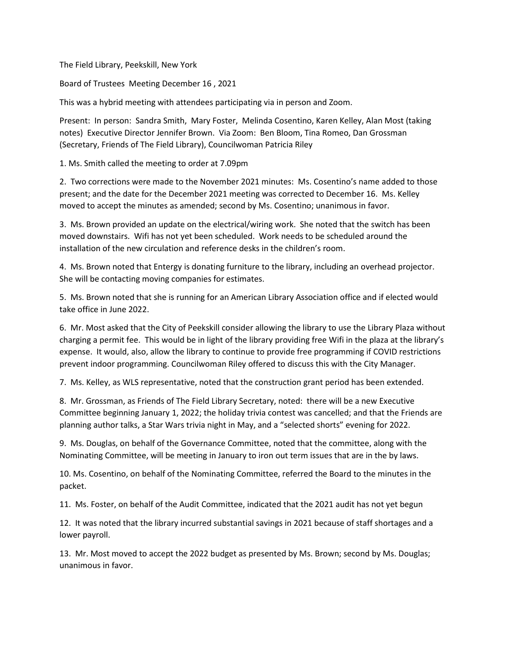The Field Library, Peekskill, New York

Board of Trustees Meeting December 16 , 2021

This was a hybrid meeting with attendees participating via in person and Zoom.

Present: In person: Sandra Smith, Mary Foster, Melinda Cosentino, Karen Kelley, Alan Most (taking notes) Executive Director Jennifer Brown. Via Zoom: Ben Bloom, Tina Romeo, Dan Grossman (Secretary, Friends of The Field Library), Councilwoman Patricia Riley

1. Ms. Smith called the meeting to order at 7.09pm

2. Two corrections were made to the November 2021 minutes: Ms. Cosentino's name added to those present; and the date for the December 2021 meeting was corrected to December 16. Ms. Kelley moved to accept the minutes as amended; second by Ms. Cosentino; unanimous in favor.

3. Ms. Brown provided an update on the electrical/wiring work. She noted that the switch has been moved downstairs. Wifi has not yet been scheduled. Work needs to be scheduled around the installation of the new circulation and reference desks in the children's room.

4. Ms. Brown noted that Entergy is donating furniture to the library, including an overhead projector. She will be contacting moving companies for estimates.

5. Ms. Brown noted that she is running for an American Library Association office and if elected would take office in June 2022.

6. Mr. Most asked that the City of Peekskill consider allowing the library to use the Library Plaza without charging a permit fee. This would be in light of the library providing free Wifi in the plaza at the library's expense. It would, also, allow the library to continue to provide free programming if COVID restrictions prevent indoor programming. Councilwoman Riley offered to discuss this with the City Manager.

7. Ms. Kelley, as WLS representative, noted that the construction grant period has been extended.

8. Mr. Grossman, as Friends of The Field Library Secretary, noted: there will be a new Executive Committee beginning January 1, 2022; the holiday trivia contest was cancelled; and that the Friends are planning author talks, a Star Wars trivia night in May, and a "selected shorts" evening for 2022.

9. Ms. Douglas, on behalf of the Governance Committee, noted that the committee, along with the Nominating Committee, will be meeting in January to iron out term issues that are in the by laws.

10. Ms. Cosentino, on behalf of the Nominating Committee, referred the Board to the minutes in the packet.

11. Ms. Foster, on behalf of the Audit Committee, indicated that the 2021 audit has not yet begun

12. It was noted that the library incurred substantial savings in 2021 because of staff shortages and a lower payroll.

13. Mr. Most moved to accept the 2022 budget as presented by Ms. Brown; second by Ms. Douglas; unanimous in favor.